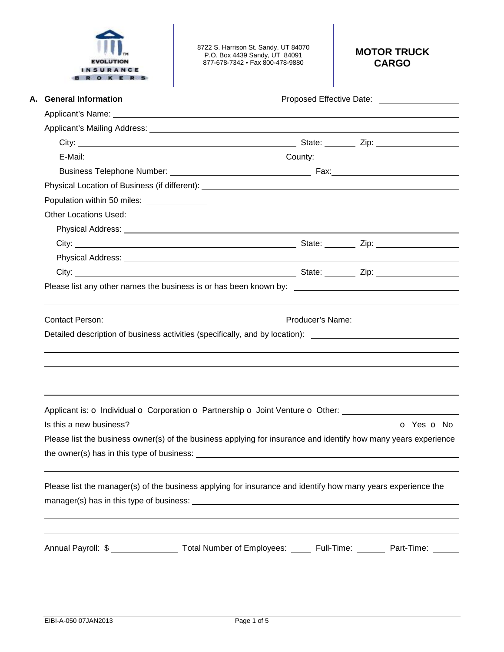

8722 S. Harrison St. Sandy, UT 84070 P.O. Box 4439 Sandy, UT 84091 877-678-7342 • Fax 800-478-9880

# **MOTOR TRUCK CARGO**

| A. General Information                                                                                                                                                                                                         | Proposed Effective Date: 2000 2010 2020 |
|--------------------------------------------------------------------------------------------------------------------------------------------------------------------------------------------------------------------------------|-----------------------------------------|
|                                                                                                                                                                                                                                |                                         |
| Applicant's Mailing Address: Applicant of the Applicant of the Applicant of the Applicant of the Applicant of the Applicant of the Applicant of the Applicant of the Applicant of the Applicant of the Applicant of the Applic |                                         |
|                                                                                                                                                                                                                                |                                         |
|                                                                                                                                                                                                                                |                                         |
|                                                                                                                                                                                                                                |                                         |
|                                                                                                                                                                                                                                |                                         |
| Population within 50 miles: _______________                                                                                                                                                                                    |                                         |
| <b>Other Locations Used:</b>                                                                                                                                                                                                   |                                         |
|                                                                                                                                                                                                                                |                                         |
|                                                                                                                                                                                                                                |                                         |
|                                                                                                                                                                                                                                |                                         |
|                                                                                                                                                                                                                                |                                         |
| Please list any other names the business is or has been known by: __________________________________                                                                                                                           |                                         |
| <b>Contact Person:</b>                                                                                                                                                                                                         |                                         |
|                                                                                                                                                                                                                                |                                         |
| Applicant is: o Individual o Corporation o Partnership o Joint Venture o Other:                                                                                                                                                |                                         |
| Is this a new business?                                                                                                                                                                                                        | O Yes O No                              |
| Please list the business owner(s) of the business applying for insurance and identify how many years experience                                                                                                                |                                         |
|                                                                                                                                                                                                                                |                                         |
| Please list the manager(s) of the business applying for insurance and identify how many years experience the                                                                                                                   |                                         |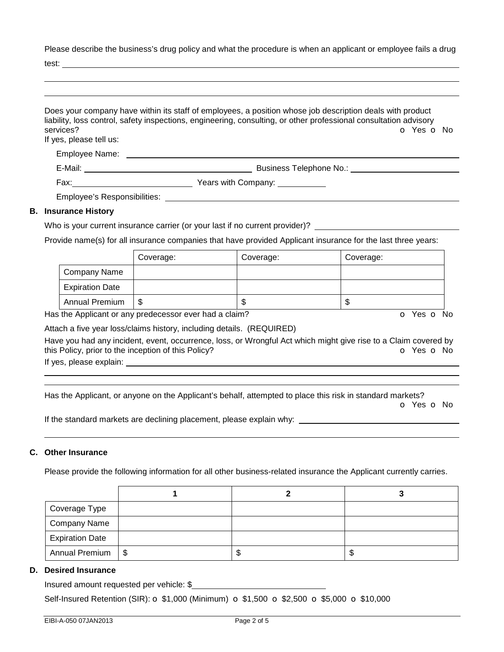Please describe the business's drug policy and what the procedure is when an applicant or employee fails a drug

test:

|                                      | Does your company have within its staff of employees, a position whose job description deals with product<br>liability, loss control, safety inspections, engineering, consulting, or other professional consultation advisory |
|--------------------------------------|--------------------------------------------------------------------------------------------------------------------------------------------------------------------------------------------------------------------------------|
| services?<br>If yes, please tell us: | O Yes O No                                                                                                                                                                                                                     |
|                                      |                                                                                                                                                                                                                                |
|                                      |                                                                                                                                                                                                                                |
|                                      |                                                                                                                                                                                                                                |
|                                      | Employee's Responsibilities: Network and the control of the control of the control of the control of the control of the control of the control of the control of the control of the control of the control of the control of t |
| <b>B.</b> Insurance History          |                                                                                                                                                                                                                                |
|                                      | Who is your current insurance carrier (or your last if no current provider)?                                                                                                                                                   |

Provide name(s) for all insurance companies that have provided Applicant insurance for the last three years:

|                        | Coverage: | Coverage: | Coverage: |
|------------------------|-----------|-----------|-----------|
| Company Name           |           |           |           |
| <b>Expiration Date</b> |           |           |           |
| <b>Annual Premium</b>  | S         | ۰IJ       | Œ         |

Has the Applicant or any predecessor ever had a claim? The Contract of Monocomusic Contract of No. The Contract O

Attach a five year loss/claims history, including details. (REQUIRED)

Have you had any incident, event, occurrence, loss, or Wrongful Act which might give rise to a Claim covered by this Policy, prior to the inception of this Policy? **o Yes o No** Yes **o** No

If yes, please explain:

 

Has the Applicant, or anyone on the Applicant's behalf, attempted to place this risk in standard markets?

o Yes o No

If the standard markets are declining placement, please explain why:

### **C. Other Insurance**

Please provide the following information for all other business-related insurance the Applicant currently carries.

| Coverage Type          |    |   |
|------------------------|----|---|
| <b>Company Name</b>    |    |   |
| <b>Expiration Date</b> |    |   |
| Annual Premium   \$    | ъD | Œ |

## **D. Desired Insurance**

Insured amount requested per vehicle: \$

Self-Insured Retention (SIR):  $\sigma$  \$1,000 (Minimum)  $\sigma$  \$1,500  $\sigma$  \$2,500  $\sigma$  \$5,000  $\sigma$  \$10,000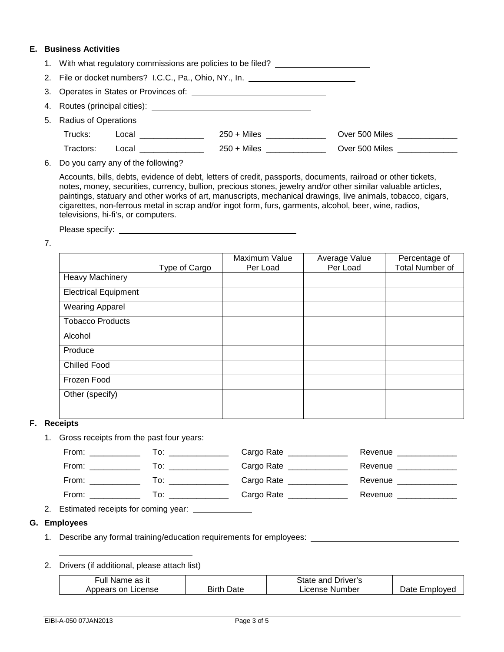#### **E. Business Activities**

| 1. With what regulatory commissions are policies to be filed?                    |                                                                                                                |               |                                |
|----------------------------------------------------------------------------------|----------------------------------------------------------------------------------------------------------------|---------------|--------------------------------|
| 2. File or docket numbers? I.C.C., Pa., Ohio, NY., In. _________________________ |                                                                                                                |               |                                |
|                                                                                  |                                                                                                                |               |                                |
|                                                                                  |                                                                                                                |               |                                |
| 5. Radius of Operations                                                          |                                                                                                                |               |                                |
| Trucks:                                                                          | Local <b>Contract Contract Contract Contract Contract Contract Contract Contract Contract Contract Co</b>      | $250 +$ Miles | Over 500 Miles <b>Director</b> |
| Tractors:                                                                        | Local in the contract of the contract of the contract of the contract of the contract of the contract of the c | $250 +$ Miles | Over 500 Miles <b>Director</b> |

6. Do you carry any of the following?

Accounts, bills, debts, evidence of debt, letters of credit, passports, documents, railroad or other tickets, notes, money, securities, currency, bullion, precious stones, jewelry and/or other similar valuable articles, paintings, statuary and other works of art, manuscripts, mechanical drawings, live animals, tobacco, cigars, cigarettes, non-ferrous metal in scrap and/or ingot form, furs, garments, alcohol, beer, wine, radios, televisions, hi-fi's, or computers.

Please specify:

7.

|                             | Type of Cargo | Maximum Value<br>Per Load | Average Value<br>Per Load | Percentage of<br><b>Total Number of</b> |
|-----------------------------|---------------|---------------------------|---------------------------|-----------------------------------------|
| <b>Heavy Machinery</b>      |               |                           |                           |                                         |
| <b>Electrical Equipment</b> |               |                           |                           |                                         |
| <b>Wearing Apparel</b>      |               |                           |                           |                                         |
| <b>Tobacco Products</b>     |               |                           |                           |                                         |
| Alcohol                     |               |                           |                           |                                         |
| Produce                     |               |                           |                           |                                         |
| <b>Chilled Food</b>         |               |                           |                           |                                         |
| Frozen Food                 |               |                           |                           |                                         |
| Other (specify)             |               |                           |                           |                                         |
|                             |               |                           |                           |                                         |

#### **F. Receipts**

1. Gross receipts from the past four years:

| From: | ۱O.  | Cargo Rate | Revenue |
|-------|------|------------|---------|
| From: | l o: | Cargo Rate | Revenue |
| From: | l O  | Cargo Rate | Revenue |
| From: | 0 I  | Cargo Rate | Revenue |

2. Estimated receipts for coming year:

#### **G. Employees**

- 1. Describe any formal training/education requirements for employees:
- 2. Drivers (if additional, please attach list)

| Full Name as it    |               | State and Driver's |               |
|--------------------|---------------|--------------------|---------------|
| Appears on License | Birth<br>Date | License Number     | Date Emploved |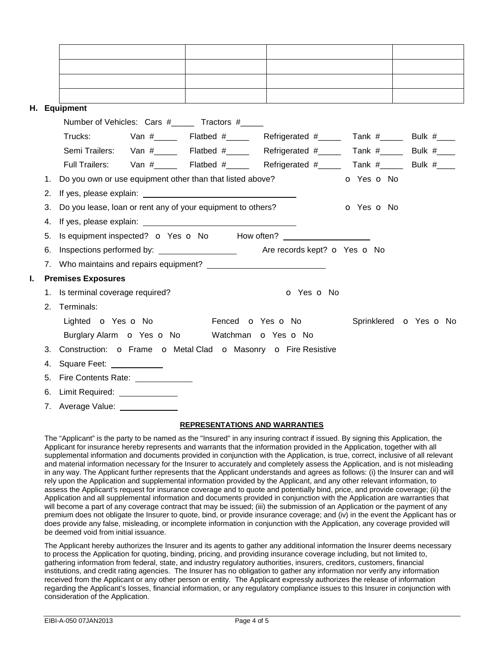|    |                | H. Equipment                                                                                                                                                                                                                   |
|----|----------------|--------------------------------------------------------------------------------------------------------------------------------------------------------------------------------------------------------------------------------|
|    |                | Number of Vehicles: Cars #______ Tractors #_____                                                                                                                                                                               |
|    |                | Van $\#$ _______ Flatbed $\#$ ______ Refrigerated $\#$ _____ Tank $\#$ _____ Bulk $\#$ ____<br>Trucks:                                                                                                                         |
|    |                | Semi Trailers: Van #_____ Flatbed #_____ Refrigerated #_____ Tank #_____ Bulk #____                                                                                                                                            |
|    |                | Full Trailers: Van #_____ Flatbed #_____ Refrigerated #_____ Tank #____ Bulk #____                                                                                                                                             |
|    | 1.             | Do you own or use equipment other than that listed above?<br>o Yes o No                                                                                                                                                        |
|    | 2.             |                                                                                                                                                                                                                                |
|    | 3.             | Do you lease, loan or rent any of your equipment to others?<br>o Yes o No                                                                                                                                                      |
|    | 4.             | If yes, please explain: Note and the set of the set of the set of the set of the set of the set of the set of the set of the set of the set of the set of the set of the set of the set of the set of the set of the set of th |
|    | 5.             | Is equipment inspected? o Yes o No How often?                                                                                                                                                                                  |
|    | 6.             | Inspections performed by: <u>containing the set of the set of the set of the set of the set of the set of the set o</u><br>Are records kept? o Yes o No                                                                        |
|    |                |                                                                                                                                                                                                                                |
| I. |                | <b>Premises Exposures</b>                                                                                                                                                                                                      |
|    |                | 1. Is terminal coverage required?<br>o Yes o No                                                                                                                                                                                |
|    | 2 <sup>1</sup> | Terminals:                                                                                                                                                                                                                     |
|    |                | Lighted <b>o</b> Yes <b>o</b> No <b>Fenced o</b> Yes <b>o</b> No<br>Sprinklered o Yes o No                                                                                                                                     |
|    |                | Burglary Alarm <b>o</b> Yes <b>o</b> No Watchman <b>o</b> Yes <b>o</b> No                                                                                                                                                      |
|    | 3.             | Construction: O Frame O Metal Clad O Masonry O Fire Resistive                                                                                                                                                                  |
|    | 4.             | Square Feet: ____________                                                                                                                                                                                                      |
|    | 5.             | Fire Contents Rate: <u>____________</u>                                                                                                                                                                                        |
|    | 6.             | Limit Required: ______________                                                                                                                                                                                                 |
|    |                | 7. Average Value:                                                                                                                                                                                                              |

## **REPRESENTATIONS AND WARRANTIES**

The "Applicant" is the party to be named as the "Insured" in any insuring contract if issued. By signing this Application, the Applicant for insurance hereby represents and warrants that the information provided in the Application, together with all supplemental information and documents provided in conjunction with the Application, is true, correct, inclusive of all relevant and material information necessary for the Insurer to accurately and completely assess the Application, and is not misleading in any way. The Applicant further represents that the Applicant understands and agrees as follows: (i) the Insurer can and will rely upon the Application and supplemental information provided by the Applicant, and any other relevant information, to assess the Applicant's request for insurance coverage and to quote and potentially bind, price, and provide coverage; (ii) the Application and all supplemental information and documents provided in conjunction with the Application are warranties that will become a part of any coverage contract that may be issued; (iii) the submission of an Application or the payment of any premium does not obligate the Insurer to quote, bind, or provide insurance coverage; and (iv) in the event the Applicant has or does provide any false, misleading, or incomplete information in conjunction with the Application, any coverage provided will be deemed void from initial issuance.

The Applicant hereby authorizes the Insurer and its agents to gather any additional information the Insurer deems necessary to process the Application for quoting, binding, pricing, and providing insurance coverage including, but not limited to, gathering information from federal, state, and industry regulatory authorities, insurers, creditors, customers, financial institutions, and credit rating agencies. The Insurer has no obligation to gather any information nor verify any information received from the Applicant or any other person or entity. The Applicant expressly authorizes the release of information regarding the Applicant's losses, financial information, or any regulatory compliance issues to this Insurer in conjunction with consideration of the Application.